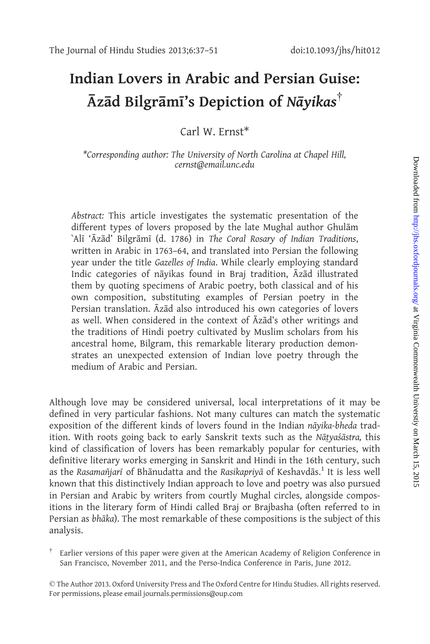## Indian Lovers in Arabic and Persian Guise:  $\bar{A}$ zād Bilgrāmī's Depiction of Nāyikas<sup>†</sup>

Carl W. Frnst\*

\*Corresponding author: The University of North Carolina at Chapel Hill, cernst@email.unc.edu

Abstract: This article investigates the systematic presentation of the different types of lovers proposed by the late Mughal author Ghulām `Alī 'Āzād' Bilgrāmī (d. 1786) in The Coral Rosary of Indian Traditions, written in Arabic in 1763–64, and translated into Persian the following year under the title Gazelles of India. While clearly employing standard Indic categories of nāyikas found in Braj tradition, Āzād illustrated them by quoting specimens of Arabic poetry, both classical and of his own composition, substituting examples of Persian poetry in the Persian translation. Azad also introduced his own categories of lovers as well. When considered in the context of Azad's other writings and the traditions of Hindi poetry cultivated by Muslim scholars from his ancestral home, Bilgram, this remarkable literary production demonstrates an unexpected extension of Indian love poetry through the medium of Arabic and Persian.

Although love may be considered universal, local interpretations of it may be defined in very particular fashions. Not many cultures can match the systematic exposition of the different kinds of lovers found in the Indian nāyika-bheda tradition. With roots going back to early Sanskrit texts such as the Nātyas´āstra, this kind of classification of lovers has been remarkably popular for centuries, with definitive literary works emerging in Sanskrit and Hindi in the 16th century, such as the Rasamañjarī of Bhānudatta and the Rasikapriyā of Keshavdās.<sup>1</sup> It is less well known that this distinctively Indian approach to love and poetry was also pursued in Persian and Arabic by writers from courtly Mughal circles, alongside compositions in the literary form of Hindi called Braj or Brajbasha (often referred to in Persian as bhāka). The most remarkable of these compositions is the subject of this analysis.

 $\dagger$  Earlier versions of this paper were given at the American Academy of Religion Conference in San Francisco, November 2011, and the Perso-Indica Conference in Paris, June 2012.

- The Author 2013. Oxford University Press and The Oxford Centre for Hindu Studies. All rights reserved. For permissions, please email journals.permissions@oup.com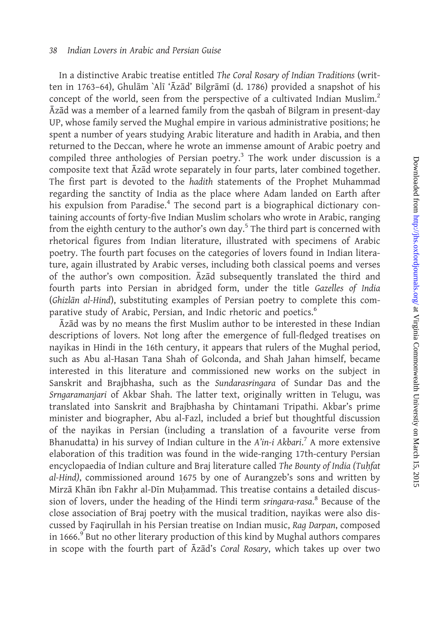In a distinctive Arabic treatise entitled The Coral Rosary of Indian Traditions (written in 1763–64), Ghulām `Alī 'Āzād' Bilgrāmī (d. 1786) provided a snapshot of his concept of the world, seen from the perspective of a cultivated Indian Muslim.<sup>2</sup> Azad was a member of a learned family from the qasbah of Bilgram in present-day UP, whose family served the Mughal empire in various administrative positions; he spent a number of years studying Arabic literature and hadith in Arabia, and then returned to the Deccan, where he wrote an immense amount of Arabic poetry and compiled three anthologies of Persian poetry.<sup>3</sup> The work under discussion is a composite text that  $\bar{A}z\bar{a}d$  wrote separately in four parts, later combined together. The first part is devoted to the hadith statements of the Prophet Muhammad regarding the sanctity of India as the place where Adam landed on Earth after his expulsion from Paradise.<sup>4</sup> The second part is a biographical dictionary containing accounts of forty-five Indian Muslim scholars who wrote in Arabic, ranging from the eighth century to the author's own day.<sup>5</sup> The third part is concerned with rhetorical figures from Indian literature, illustrated with specimens of Arabic poetry. The fourth part focuses on the categories of lovers found in Indian literature, again illustrated by Arabic verses, including both classical poems and verses of the author's own composition. Azad subsequently translated the third and fourth parts into Persian in abridged form, under the title Gazelles of India (Ghizlān al-Hind), substituting examples of Persian poetry to complete this comparative study of Arabic, Persian, and Indic rhetoric and poetics.<sup>6</sup>

Azad was by no means the first Muslim author to be interested in these Indian descriptions of lovers. Not long after the emergence of full-fledged treatises on nayikas in Hindi in the 16th century, it appears that rulers of the Mughal period, such as Abu al-Hasan Tana Shah of Golconda, and Shah Jahan himself, became interested in this literature and commissioned new works on the subject in Sanskrit and Brajbhasha, such as the Sundarasringara of Sundar Das and the Srngaramanjari of Akbar Shah. The latter text, originally written in Telugu, was translated into Sanskrit and Brajbhasha by Chintamani Tripathi. Akbar's prime minister and biographer, Abu al-Fazl, included a brief but thoughtful discussion of the nayikas in Persian (including a translation of a favourite verse from Bhanudatta) in his survey of Indian culture in the A'in-i Akbari.<sup>7</sup> A more extensive elaboration of this tradition was found in the wide-ranging 17th-century Persian encyclopaedia of Indian culture and Braj literature called The Bounty of India (Tuhfat al-Hind), commissioned around 1675 by one of Aurangzeb's sons and written by Mirzā Khān ibn Fakhr al-Dīn Muhammad. This treatise contains a detailed discussion of lovers, under the heading of the Hindi term sringara-rasa.<sup>8</sup> Because of the close association of Braj poetry with the musical tradition, nayikas were also discussed by Faqirullah in his Persian treatise on Indian music, Rag Darpan, composed in 1666.<sup>9</sup> But no other literary production of this kind by Mughal authors compares in scope with the fourth part of Azad's Coral Rosary, which takes up over two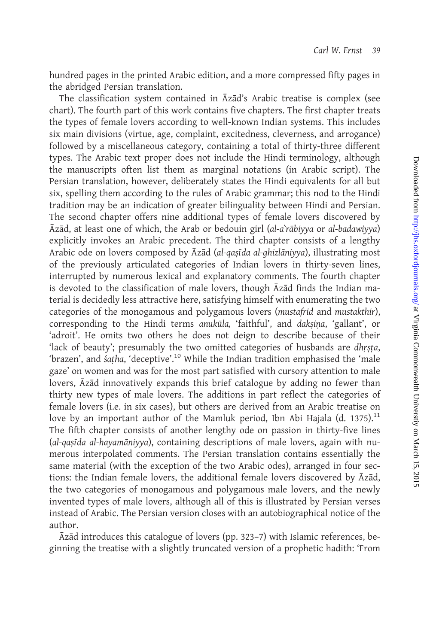hundred pages in the printed Arabic edition, and a more compressed fifty pages in the abridged Persian translation.

The classification system contained in Āzād's Arabic treatise is complex (see chart). The fourth part of this work contains five chapters. The first chapter treats the types of female lovers according to well-known Indian systems. This includes six main divisions (virtue, age, complaint, excitedness, cleverness, and arrogance) followed by a miscellaneous category, containing a total of thirty-three different types. The Arabic text proper does not include the Hindi terminology, although the manuscripts often list them as marginal notations (in Arabic script). The Persian translation, however, deliberately states the Hindi equivalents for all but six, spelling them according to the rules of Arabic grammar; this nod to the Hindi tradition may be an indication of greater bilinguality between Hindi and Persian. The second chapter offers nine additional types of female lovers discovered by  $\bar{A}z\bar{a}d$ , at least one of which, the Arab or bedouin girl (al-a $\bar{a}r\bar{a}b$ iyya or al-badawiyya) explicitly invokes an Arabic precedent. The third chapter consists of a lengthy Arabic ode on lovers composed by Āzād (al-qasīda al-ghizlāniyya), illustrating most of the previously articulated categories of Indian lovers in thirty-seven lines, interrupted by numerous lexical and explanatory comments. The fourth chapter is devoted to the classification of male lovers, though  $\bar{A}z\bar{a}d$  finds the Indian material is decidedly less attractive here, satisfying himself with enumerating the two categories of the monogamous and polygamous lovers (mustafrid and mustakthir), corresponding to the Hindi terms anukūla, 'faithful', and daksina, 'gallant', or 'adroit'. He omits two others he does not deign to describe because of their 'lack of beauty'; presumably the two omitted categories of husbands are dhrsta, 'brazen', and *satha*, 'deceptive'.<sup>10</sup> While the Indian tradition emphasised the 'male gaze' on women and was for the most part satisfied with cursory attention to male lovers, Azad innovatively expands this brief catalogue by adding no fewer than thirty new types of male lovers. The additions in part reflect the categories of female lovers (i.e. in six cases), but others are derived from an Arabic treatise on love by an important author of the Mamluk period, Ibn Abi Hajala (d. 1375).<sup>11</sup> The fifth chapter consists of another lengthy ode on passion in thirty-five lines (al-qasīda al-hayamāniyya), containing descriptions of male lovers, again with numerous interpolated comments. The Persian translation contains essentially the same material (with the exception of the two Arabic odes), arranged in four sections: the Indian female lovers, the additional female lovers discovered by  $\bar{A}z\bar{a}d$ , the two categories of monogamous and polygamous male lovers, and the newly invented types of male lovers, although all of this is illustrated by Persian verses instead of Arabic. The Persian version closes with an autobiographical notice of the author.

Azad introduces this catalogue of lovers (pp. 323-7) with Islamic references, beginning the treatise with a slightly truncated version of a prophetic hadith: 'From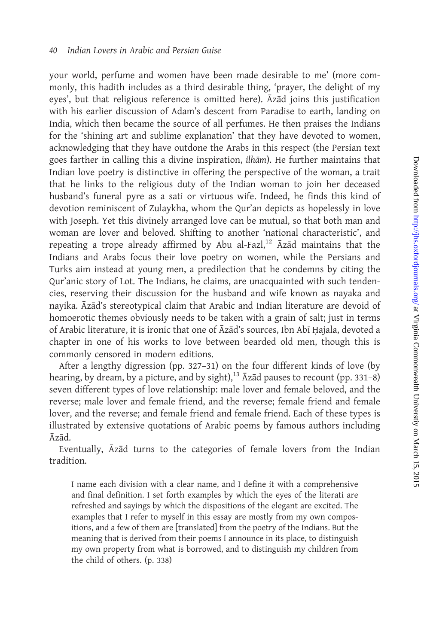your world, perfume and women have been made desirable to me' (more commonly, this hadith includes as a third desirable thing, 'prayer, the delight of my eyes', but that religious reference is omitted here).  $\bar{A}z\bar{a}d$  joins this justification with his earlier discussion of Adam's descent from Paradise to earth, landing on India, which then became the source of all perfumes. He then praises the Indians for the 'shining art and sublime explanation' that they have devoted to women, acknowledging that they have outdone the Arabs in this respect (the Persian text goes farther in calling this a divine inspiration, *ilham*). He further maintains that Indian love poetry is distinctive in offering the perspective of the woman, a trait that he links to the religious duty of the Indian woman to join her deceased husband's funeral pyre as a sati or virtuous wife. Indeed, he finds this kind of devotion reminiscent of Zulaykha, whom the Qur'an depicts as hopelessly in love with Joseph. Yet this divinely arranged love can be mutual, so that both man and woman are lover and beloved. Shifting to another 'national characteristic', and repeating a trope already affirmed by Abu al-Fazl,<sup>12</sup>  $\bar{A}z\bar{a}d$  maintains that the Indians and Arabs focus their love poetry on women, while the Persians and Turks aim instead at young men, a predilection that he condemns by citing the Qur'anic story of Lot. The Indians, he claims, are unacquainted with such tendencies, reserving their discussion for the husband and wife known as nayaka and nayika. Azad's stereotypical claim that Arabic and Indian literature are devoid of homoerotic themes obviously needs to be taken with a grain of salt; just in terms of Arabic literature, it is ironic that one of Azad's sources, Ibn Abī Hajala, devoted a chapter in one of his works to love between bearded old men, though this is commonly censored in modern editions.

After a lengthy digression (pp. 327–31) on the four different kinds of love (by hearing, by dream, by a picture, and by sight),<sup>13</sup>  $\bar{A}z\bar{a}d$  pauses to recount (pp. 331–8) seven different types of love relationship: male lover and female beloved, and the reverse; male lover and female friend, and the reverse; female friend and female lover, and the reverse; and female friend and female friend. Each of these types is illustrated by extensive quotations of Arabic poems by famous authors including  $\bar{A}z\bar{a}d$ .

Eventually,  $\bar{A}z\bar{a}d$  turns to the categories of female lovers from the Indian tradition.

I name each division with a clear name, and I define it with a comprehensive and final definition. I set forth examples by which the eyes of the literati are refreshed and sayings by which the dispositions of the elegant are excited. The examples that I refer to myself in this essay are mostly from my own compositions, and a few of them are [translated] from the poetry of the Indians. But the meaning that is derived from their poems I announce in its place, to distinguish my own property from what is borrowed, and to distinguish my children from the child of others. (p. 338)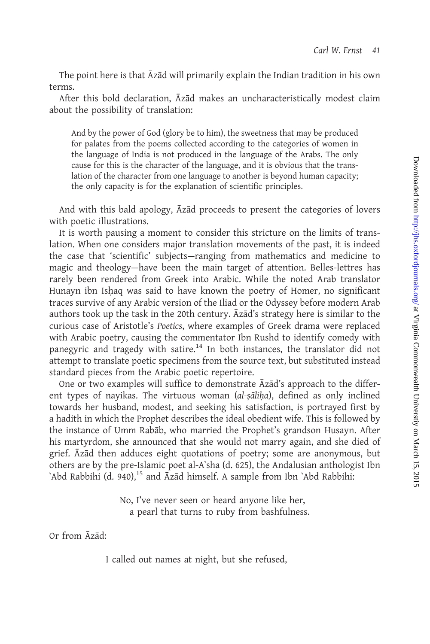The point here is that Azad will primarily explain the Indian tradition in his own terms.

After this bold declaration,  $\bar{A}z\bar{a}d$  makes an uncharacteristically modest claim about the possibility of translation:

And by the power of God (glory be to him), the sweetness that may be produced for palates from the poems collected according to the categories of women in the language of India is not produced in the language of the Arabs. The only cause for this is the character of the language, and it is obvious that the translation of the character from one language to another is beyond human capacity; the only capacity is for the explanation of scientific principles.

And with this bald apology, Azad proceeds to present the categories of lovers with poetic illustrations.

It is worth pausing a moment to consider this stricture on the limits of translation. When one considers major translation movements of the past, it is indeed the case that 'scientific' subjects—ranging from mathematics and medicine to magic and theology—have been the main target of attention. Belles-lettres has rarely been rendered from Greek into Arabic. While the noted Arab translator Hunayn ibn Ishaq was said to have known the poetry of Homer, no significant traces survive of any Arabic version of the Iliad or the Odyssey before modern Arab authors took up the task in the 20th century. Azad's strategy here is similar to the curious case of Aristotle's Poetics, where examples of Greek drama were replaced with Arabic poetry, causing the commentator Ibn Rushd to identify comedy with panegyric and tragedy with satire.<sup>14</sup> In both instances, the translator did not attempt to translate poetic specimens from the source text, but substituted instead standard pieces from the Arabic poetic repertoire.

One or two examples will suffice to demonstrate  $\bar{A}z\bar{a}d's$  approach to the different types of nayikas. The virtuous woman (al-șāliḥa), defined as only inclined towards her husband, modest, and seeking his satisfaction, is portrayed first by a hadith in which the Prophet describes the ideal obedient wife. This is followed by the instance of Umm Rab@b, who married the Prophet's grandson Husayn. After his martyrdom, she announced that she would not marry again, and she died of grief. Azad then adduces eight quotations of poetry; some are anonymous, but others are by the pre-Islamic poet al-A`sha (d. 625), the Andalusian anthologist Ibn 'Abd Rabbihi (d. 940),<sup>15</sup> and  $\bar{A}z\bar{a}d$  himself. A sample from Ibn 'Abd Rabbihi:

> No, I've never seen or heard anyone like her, a pearl that turns to ruby from bashfulness.

Or from Azad:

I called out names at night, but she refused,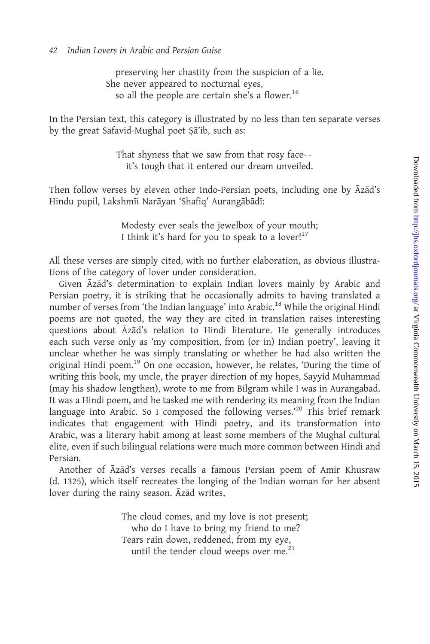preserving her chastity from the suspicion of a lie. She never appeared to nocturnal eyes, so all the people are certain she's a flower.<sup>16</sup>

In the Persian text, this category is illustrated by no less than ten separate verses by the great Safavid-Mughal poet Sa'ib, such as:

> That shyness that we saw from that rosy face- it's tough that it entered our dream unveiled.

Then follow verses by eleven other Indo-Persian poets, including one by  $\bar{A}z\bar{a}d's$ Hindu pupil, Lakshmīi Narāyan 'Shafiq' Aurangābādī:

> Modesty ever seals the jewelbox of your mouth; I think it's hard for you to speak to a lover! $17$

All these verses are simply cited, with no further elaboration, as obvious illustrations of the category of lover under consideration.

Given Azad's determination to explain Indian lovers mainly by Arabic and Persian poetry, it is striking that he occasionally admits to having translated a number of verses from 'the Indian language' into Arabic.<sup>18</sup> While the original Hindi poems are not quoted, the way they are cited in translation raises interesting questions about Āzād's relation to Hindi literature. He generally introduces each such verse only as 'my composition, from (or in) Indian poetry', leaving it unclear whether he was simply translating or whether he had also written the original Hindi poem.19 On one occasion, however, he relates, 'During the time of writing this book, my uncle, the prayer direction of my hopes, Sayyid Muhammad (may his shadow lengthen), wrote to me from Bilgram while I was in Aurangabad. It was a Hindi poem, and he tasked me with rendering its meaning from the Indian language into Arabic. So I composed the following verses.<sup>20</sup> This brief remark indicates that engagement with Hindi poetry, and its transformation into Arabic, was a literary habit among at least some members of the Mughal cultural elite, even if such bilingual relations were much more common between Hindi and Persian.

Another of  $\bar{A}z\bar{a}d\bar{c}$  verses recalls a famous Persian poem of Amir Khusraw (d. 1325), which itself recreates the longing of the Indian woman for her absent lover during the rainy season. Azad writes,

> The cloud comes, and my love is not present; who do I have to bring my friend to me? Tears rain down, reddened, from my eye, until the tender cloud weeps over me. $21$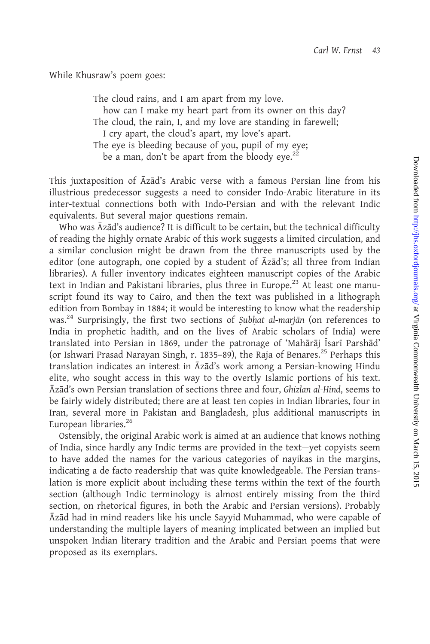While Khusraw's poem goes:

The cloud rains, and I am apart from my love. how can I make my heart part from its owner on this day? The cloud, the rain, I, and my love are standing in farewell; I cry apart, the cloud's apart, my love's apart. The eye is bleeding because of you, pupil of my eye; be a man, don't be apart from the bloody eye. $2^2$ 

This juxtaposition of  $\bar{A}z\bar{a}d's$  Arabic verse with a famous Persian line from his illustrious predecessor suggests a need to consider Indo-Arabic literature in its inter-textual connections both with Indo-Persian and with the relevant Indic equivalents. But several major questions remain.

Who was  $\bar{A}$ zād's audience? It is difficult to be certain, but the technical difficulty of reading the highly ornate Arabic of this work suggests a limited circulation, and a similar conclusion might be drawn from the three manuscripts used by the editor (one autograph, one copied by a student of  $\bar{A}z\bar{a}d's$ ; all three from Indian libraries). A fuller inventory indicates eighteen manuscript copies of the Arabic text in Indian and Pakistani libraries, plus three in Europe.<sup>23</sup> At least one manuscript found its way to Cairo, and then the text was published in a lithograph edition from Bombay in 1884; it would be interesting to know what the readership was.<sup>24</sup> Surprisingly, the first two sections of Subhat al-marjan (on references to India in prophetic hadith, and on the lives of Arabic scholars of India) were translated into Persian in 1869, under the patronage of 'Mahārāj Īsarī Parshād' (or Ishwari Prasad Narayan Singh, r. 1835–89), the Raja of Benares.<sup>25</sup> Perhaps this translation indicates an interest in Āzād's work among a Persian-knowing Hindu elite, who sought access in this way to the overtly Islamic portions of his text. Azad's own Persian translation of sections three and four, Ghizlan al-Hind, seems to be fairly widely distributed; there are at least ten copies in Indian libraries, four in Iran, several more in Pakistan and Bangladesh, plus additional manuscripts in European libraries.<sup>26</sup>

Ostensibly, the original Arabic work is aimed at an audience that knows nothing of India, since hardly any Indic terms are provided in the text—yet copyists seem to have added the names for the various categories of nayikas in the margins, indicating a de facto readership that was quite knowledgeable. The Persian translation is more explicit about including these terms within the text of the fourth section (although Indic terminology is almost entirely missing from the third section, on rhetorical figures, in both the Arabic and Persian versions). Probably  $\bar{A}z\bar{a}d$  had in mind readers like his uncle Sayyid Muhammad, who were capable of understanding the multiple layers of meaning implicated between an implied but unspoken Indian literary tradition and the Arabic and Persian poems that were proposed as its exemplars.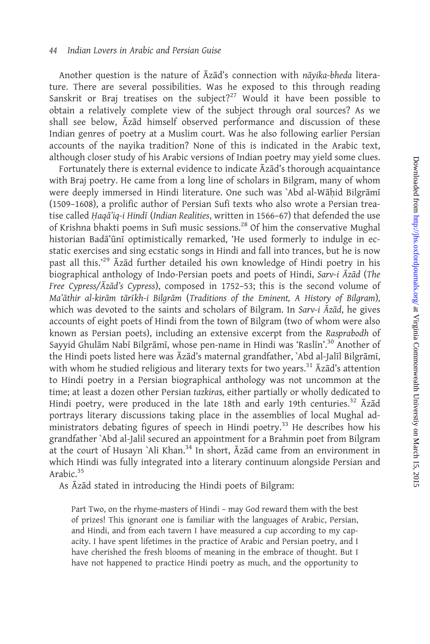Another question is the nature of Āzād's connection with nāyika-bheda literature. There are several possibilities. Was he exposed to this through reading Sanskrit or Braj treatises on the subject?<sup>27</sup> Would it have been possible to obtain a relatively complete view of the subject through oral sources? As we shall see below, Azad himself observed performance and discussion of these Indian genres of poetry at a Muslim court. Was he also following earlier Persian accounts of the nayika tradition? None of this is indicated in the Arabic text, although closer study of his Arabic versions of Indian poetry may yield some clues.

Fortunately there is external evidence to indicate  $\bar{A}z\bar{a}d's$  thorough acquaintance with Braj poetry. He came from a long line of scholars in Bilgram, many of whom were deeply immersed in Hindi literature. One such was `Abd al-Wāhid Bilgrāmī (1509–1608), a prolific author of Persian Sufi texts who also wrote a Persian treatise called Haga'ig-i Hindī (Indian Realities, written in 1566–67) that defended the use of Krishna bhakti poems in Sufi music sessions.<sup>28</sup> Of him the conservative Mughal historian Badā'ūnī optimistically remarked, 'He used formerly to indulge in ecstatic exercises and sing ecstatic songs in Hindi and fall into trances, but he is now past all this.<sup>29</sup> Azad further detailed his own knowledge of Hindi poetry in his biographical anthology of Indo-Persian poets and poets of Hindi, Sarv-i Āzād (The Free Cypress/Azad's Cypress), composed in 1752-53; this is the second volume of Ma'āthir al-kirām tārīkh-i Bilgrām (Traditions of the Eminent, A History of Bilgram), which was devoted to the saints and scholars of Bilgram. In Sarv-i  $\bar{A}z\bar{a}d$ , he gives accounts of eight poets of Hindi from the town of Bilgram (two of whom were also known as Persian poets), including an extensive excerpt from the Rasprabodh of Sayyid Ghulām Nabī Bilgrāmī, whose pen-name in Hindi was 'Raslīn'.<sup>30</sup> Another of the Hindi poets listed here was Āzād's maternal grandfather, `Abd al-Jalīl Bilgrāmī, with whom he studied religious and literary texts for two years.<sup>31</sup>  $\bar{A}z\bar{a}d's$  attention to Hindi poetry in a Persian biographical anthology was not uncommon at the time; at least a dozen other Persian tazkiras, either partially or wholly dedicated to Hindi poetry, were produced in the late 18th and early 19th centuries.<sup>32</sup>  $\bar{A}z\bar{a}d$ portrays literary discussions taking place in the assemblies of local Mughal administrators debating figures of speech in Hindi poetry.<sup>33</sup> He describes how his grandfather `Abd al-Jalil secured an appointment for a Brahmin poet from Bilgram at the court of Husayn `Ali Khan. $34$  In short,  $\bar{A}z\bar{a}d$  came from an environment in which Hindi was fully integrated into a literary continuum alongside Persian and Arabic.<sup>35</sup>

As Azad stated in introducing the Hindi poets of Bilgram:

Part Two, on the rhyme-masters of Hindi – may God reward them with the best of prizes! This ignorant one is familiar with the languages of Arabic, Persian, and Hindi, and from each tavern I have measured a cup according to my capacity. I have spent lifetimes in the practice of Arabic and Persian poetry, and I have cherished the fresh blooms of meaning in the embrace of thought. But I have not happened to practice Hindi poetry as much, and the opportunity to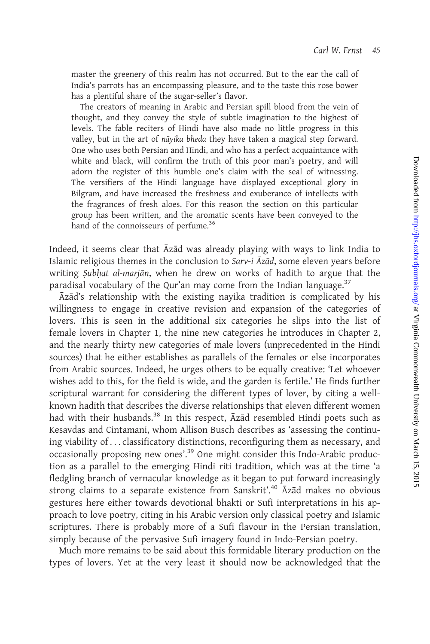master the greenery of this realm has not occurred. But to the ear the call of India's parrots has an encompassing pleasure, and to the taste this rose bower has a plentiful share of the sugar-seller's flavor.

The creators of meaning in Arabic and Persian spill blood from the vein of thought, and they convey the style of subtle imagination to the highest of levels. The fable reciters of Hindi have also made no little progress in this valley, but in the art of nāyika bheda they have taken a magical step forward. One who uses both Persian and Hindi, and who has a perfect acquaintance with white and black, will confirm the truth of this poor man's poetry, and will adorn the register of this humble one's claim with the seal of witnessing. The versifiers of the Hindi language have displayed exceptional glory in Bilgram, and have increased the freshness and exuberance of intellects with the fragrances of fresh aloes. For this reason the section on this particular group has been written, and the aromatic scents have been conveyed to the hand of the connoisseurs of perfume.<sup>36</sup>

Indeed, it seems clear that  $\bar{A}z\bar{a}d$  was already playing with ways to link India to Islamic religious themes in the conclusion to Sarv-i Āzād, some eleven years before writing Subhat al-marjān, when he drew on works of hadith to argue that the paradisal vocabulary of the Qur'an may come from the Indian language.<sup>37</sup>

Azad's relationship with the existing nayika tradition is complicated by his willingness to engage in creative revision and expansion of the categories of lovers. This is seen in the additional six categories he slips into the list of female lovers in [Chapter 1](#page-12-0), the nine new categories he introduces in [Chapter 2](#page-14-0), and the nearly thirty new categories of male lovers (unprecedented in the Hindi sources) that he either establishes as parallels of the females or else incorporates from Arabic sources. Indeed, he urges others to be equally creative: 'Let whoever wishes add to this, for the field is wide, and the garden is fertile.' He finds further scriptural warrant for considering the different types of lover, by citing a wellknown hadith that describes the diverse relationships that eleven different women had with their husbands.<sup>38</sup> In this respect,  $\bar{A}z\bar{a}d$  resembled Hindi poets such as Kesavdas and Cintamani, whom Allison Busch describes as 'assessing the continuing viability of ... classificatory distinctions, reconfiguring them as necessary, and occasionally proposing new ones'.<sup>39</sup> One might consider this Indo-Arabic production as a parallel to the emerging Hindi riti tradition, which was at the time 'a fledgling branch of vernacular knowledge as it began to put forward increasingly strong claims to a separate existence from Sanskrit'.<sup>40</sup> Azad makes no obvious gestures here either towards devotional bhakti or Sufi interpretations in his approach to love poetry, citing in his Arabic version only classical poetry and Islamic scriptures. There is probably more of a Sufi flavour in the Persian translation, simply because of the pervasive Sufi imagery found in Indo-Persian poetry.

Much more remains to be said about this formidable literary production on the types of lovers. Yet at the very least it should now be acknowledged that the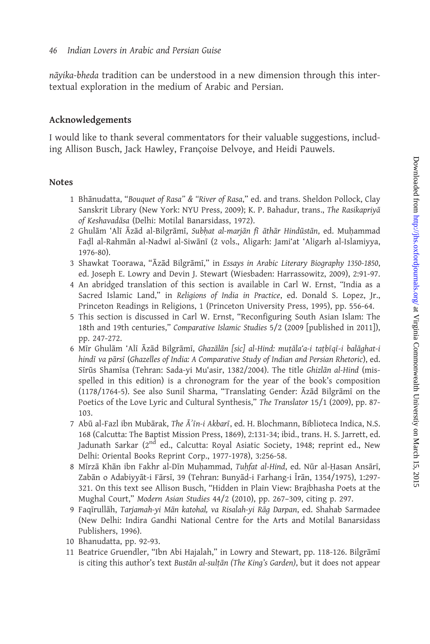nāyika-bheda tradition can be understood in a new dimension through this intertextual exploration in the medium of Arabic and Persian.

## Acknowledgements

I would like to thank several commentators for their valuable suggestions, including Allison Busch, Jack Hawley, Françoise Delvoye, and Heidi Pauwels.

## Notes

- 1 Bhānudatta, "Bouquet of Rasa" & "River of Rasa," ed. and trans. Sheldon Pollock, Clay Sanskrit Library (New York: NYU Press, 2009); K. P. Bahadur, trans., The Rasikapriyā of Keshavadāsa (Delhi: Motilal Banarsidass, 1972).
- 2 Ghulām 'Alī Āzād al-Bilgrāmī, Subhat al-marjān fī āthār Hindūstān, ed. Muhammad Fadl al-Rahmān al-Nadwī al-Siwānī (2 vols., Aligarh: Jami'at 'Aligarh al-Islamiyya, 1976-80).
- 3 Shawkat Toorawa, "Āzād Bilgrāmī," in Essays in Arabic Literary Biography 1350-1850, ed. Joseph E. Lowry and Devin J. Stewart (Wiesbaden: Harrassowitz, 2009), 2:91-97.
- 4 An abridged translation of this section is available in Carl W. Ernst, "India as a Sacred Islamic Land," in Religions of India in Practice, ed. Donald S. Lopez, Jr., Princeton Readings in Religions, 1 (Princeton University Press, 1995), pp. 556-64.
- 5 This section is discussed in Carl W. Ernst, "Reconfiguring South Asian Islam: The 18th and 19th centuries," Comparative Islamic Studies 5/2 (2009 [published in 2011]), pp. 247-272.
- 6 Mir Ghulām 'Alī Āzād Bilgrāmī, Ghazālān [sic] al-Hind: muṭāla'a-i taṭbīqī-i balāqhat-i hindī va pārsī (Ghazelles of India: A Comparative Study of Indian and Persian Rhetoric), ed. Sīrūs Shamīsa (Tehran: Sada-yi Mu'asir, 1382/2004). The title Ghizlān al-Hind (misspelled in this edition) is a chronogram for the year of the book's composition (1178/1764-5). See also Sunil Sharma, "Translating Gender: Azad Bilgrami on the Poetics of the Love Lyric and Cultural Synthesis," The Translator 15/1 (2009), pp. 87- 103.
- 7 Abū al-Fazl ibn Mubārak, The Ā'īn-i Akbarī, ed. H. Blochmann, Biblioteca Indica, N.S. 168 (Calcutta: The Baptist Mission Press, 1869), 2:131-34; ibid., trans. H. S. Jarrett, ed. Jadunath Sarkar (2<sup>nd</sup> ed., Calcutta: Royal Asiatic Society, 1948; reprint ed., New Delhi: Oriental Books Reprint Corp., 1977-1978), 3:256-58.
- 8 Mīrzā Khān ibn Fakhr al-Dīn Muhammad, Tuhfat al-Hind, ed. Nūr al-Hasan Ansārī, Zabān o Adabiyyāt-i Fārsī, 39 (Tehran: Bunyād-i Farhang-i Īrān, 1354/1975), 1:297-321. On this text see Allison Busch, "Hidden in Plain View: Brajbhasha Poets at the Mughal Court," Modern Asian Studies 44/2 (2010), pp. 267–309, citing p. 297.
- 9 Faqīrullāh, Tarjamah-yi Mān katohal, va Risalah-yi Rāg Darpan, ed. Shahab Sarmadee (New Delhi: Indira Gandhi National Centre for the Arts and Motilal Banarsidass Publishers, 1996).
- 10 Bhanudatta, pp. 92-93.
- 11 Beatrice Gruendler, "Ibn Abi Hajalah," in Lowry and Stewart, pp. 118-126. Bilgrāmī is citing this author's text Bustān al-sulțān (The King's Garden), but it does not appear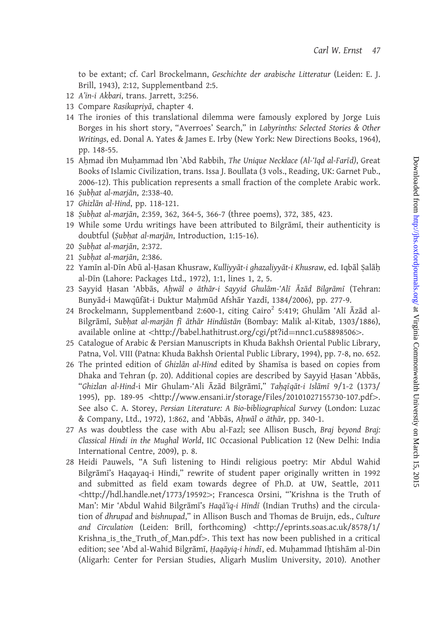to be extant; cf. Carl Brockelmann, Geschichte der arabische Litteratur (Leiden: E. J. Brill, 1943), 2:12, Supplementband 2:5.

- 12 A'in-i Akbari, trans. Jarrett, 3:256.
- 13 Compare Rasikapriyā, chapter 4.
- 14 The ironies of this translational dilemma were famously explored by Jorge Luis Borges in his short story, "Averroes' Search," in Labyrinths: Selected Stories & Other Writings, ed. Donal A. Yates & James E. Irby (New York: New Directions Books, 1964), pp. 148-55.
- 15 Ahmad ibn Muhammad Ibn `Abd Rabbih, The Unique Necklace (Al-'Iqd al-Farīd), Great Books of Islamic Civilization, trans. Issa J. Boullata (3 vols., Reading, UK: Garnet Pub., 2006-12). This publication represents a small fraction of the complete Arabic work.
- 16 Subhat al-marjān, 2:338-40.
- 17 Ghizlān al-Hind, pp. 118-121.
- 18 Subhat al-marjān, 2:359, 362, 364-5, 366-7 (three poems), 372, 385, 423.
- 19 While some Urdu writings have been attributed to Bilgrāmī, their authenticity is doubtful (Subhat al-marjān, Introduction, 1:15-16).
- 20 Subhat al-mariān, 2:372.
- 21 Subhat al-marjān, 2:386.
- 22 Yamīn al-Dīn Abū al-Hasan Khusraw, Kulliyyāt-i ghazaliyyāt-i Khusraw, ed. Iqbāl Salāh al-Dīn (Lahore: Packages Ltd., 1972), 1:1, lines 1, 2, 5.
- 23 Sayyid Hasan 'Abbās, Ahwāl o āthār-i Sayyid Ghulām-'Alī Āzād Bilgrāmī (Tehran: Bunyād-i Mawqūfāt-i Duktur Mahmūd Afshār Yazdī, 1384/2006), pp. 277-9.
- 24 Brockelmann, Supplementband 2:600-1, citing Cairo<sup>2</sup> 5:419; Ghulām 'Alī Āzād al-Bilgrāmī, Subhat al-marjān fī āthār Hindūstān (Bombay: Malik al-Kitab, 1303/1886), available online at <[http://babel.hathitrust.org/cgi/pt?id](http://babel.hathitrust.org/cgi/pt?id=nnc1.cu58898506)=[nnc1.cu58898506](http://babel.hathitrust.org/cgi/pt?id=nnc1.cu58898506)>.
- 25 Catalogue of Arabic & Persian Manuscripts in Khuda Bakhsh Oriental Public Library, Patna, Vol. VIII (Patna: Khuda Bakhsh Oriental Public Library, 1994), pp. 7-8, no. 652.
- 26 The printed edition of Ghizlān al-Hind edited by Shamīsa is based on copies from Dhaka and Tehran (p. 20). Additional copies are described by Sayyid Hasan 'Abbās, "Ghizlan al-Hind-i Mir Ghulam-'Ali Āzād Bilgrāmī," Taḥqīqāt-i Islāmī 9/1-2 (1373/ 1995), pp. 189-95 <<http://www.ensani.ir/storage/Files/20101027155730-107.pdf>>. See also C. A. Storey, Persian Literature: A Bio-bibliographical Survey (London: Luzac & Company, Ltd., 1972), 1:862, and 'Abbās, Ahwāl o āthār, pp. 340-1.
- 27 As was doubtless the case with Abu al-Fazl; see Allison Busch, Braj beyond Braj: Classical Hindi in the Mughal World, IIC Occasional Publication 12 (New Delhi: India International Centre, 2009), p. 8.
- 28 Heidi Pauwels, "A Sufi listening to Hindi religious poetry: Mir Abdul Wahid Bilgrāmī's Haqayaq-i Hindi," rewrite of student paper originally written in 1992 and submitted as field exam towards degree of Ph.D. at UW, Seattle, 2011 5<http://hdl.handle.net/1773/19592>4; Francesca Orsini, "'Krishna is the Truth of Man': Mir 'Abdul Wahid Bilgrāmī's Haqā'iq-i Hindī (Indian Truths) and the circulation of dhrupad and bishnupad," in Allison Busch and Thomas de Bruijn, eds., Culture and Circulation (Leiden: Brill, forthcoming) <[http://eprints.soas.ac.uk/8578/1/](http://eprints.soas.ac.uk/8578/1/Krishna_is_the_Truth_of_Man.pdf) Krishna is the Truth of Man.pdf>. This text has now been published in a critical edition; see 'Abd al-Wahid Bilgrāmī, Haqāyiq-i hindī, ed. Muhammad Ihtishām al-Din (Aligarh: Center for Persian Studies, Aligarh Muslim University, 2010). Another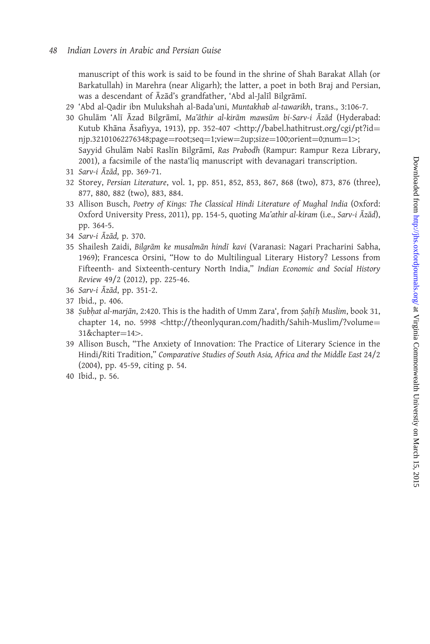manuscript of this work is said to be found in the shrine of Shah Barakat Allah (or Barkatullah) in Marehra (near Aligarh); the latter, a poet in both Braj and Persian, was a descendant of Āzād's grandfather, 'Abd al-Jalīl Bilgrāmī.

- 29 'Abd al-Qadir ibn Mulukshah al-Bada'uni, Muntakhab al-tawarikh, trans., 3:106-7.
- 30 Ghulām 'Alī Āzad Bilgrāmī, Ma'āthir al-kirām mawsūm bi-Sarv-i Āzād (Hyderabad: Kutub Khāna Āsafiyya, 1913), pp. 352-407 <[http://babel.hathitrust.org/cgi/pt?id](http://babel.hathitrust.org/cgi/pt?id=njp.32101062276348;page=root;seq=1;view=2up;size=100;orient=0;num=1)=  $nip.32101062276348; page=root; seq=1; view=2up; size=100; orient=0; num=1>;$  $nip.32101062276348; page=root; seq=1; view=2up; size=100; orient=0; num=1>;$  $nip.32101062276348; page=root; seq=1; view=2up; size=100; orient=0; num=1>;$ Sayyid Ghulām Nabī Raslīn Bilgrāmī, Ras Prabodh (Rampur: Rampur Reza Library, 2001), a facsimile of the nasta'liq manuscript with devanagari transcription.
- 31 Sarv-i Āzād, pp. 369-71.
- 32 Storey, Persian Literature, vol. 1, pp. 851, 852, 853, 867, 868 (two), 873, 876 (three), 877, 880, 882 (two), 883, 884.
- 33 Allison Busch, Poetry of Kings: The Classical Hindi Literature of Mughal India (Oxford: Oxford University Press, 2011), pp. 154-5, quoting Ma'athir al-kiram (i.e., Sarv-i Āzād), pp. 364-5.
- 34 Sarv-i Āzād, p. 370.
- 35 Shailesh Zaidi, Bilgrām ke musalmān hindī kavi (Varanasi: Nagari Pracharini Sabha, 1969); Francesca Orsini, "How to do Multilingual Literary History? Lessons from Fifteenth- and Sixteenth-century North India," Indian Economic and Social History Review 49/2 (2012), pp. 225-46.
- 36 Sarv-i Āzād, pp. 351-2.
- 37 Ibid., p. 406.
- 38 Subhat al-marjān, 2:420. This is the hadith of Umm Zara', from Sahīh Muslim, book 31, chapter 14, no. 5998 <[http://theonlyquran.com/hadith/Sahih-Muslim/?volume](http://theonlyquran.com/hadith/Sahih-Muslim/?volume=31&chapter=14)= [31&chapter](http://theonlyquran.com/hadith/Sahih-Muslim/?volume=31&chapter=14)=[14](http://theonlyquran.com/hadith/Sahih-Muslim/?volume=31&chapter=14)>.
- 39 Allison Busch, "The Anxiety of Innovation: The Practice of Literary Science in the Hindi/Riti Tradition," Comparative Studies of South Asia, Africa and the Middle East 24/2 (2004), pp. 45-59, citing p. 54.
- 40 Ibid., p. 56.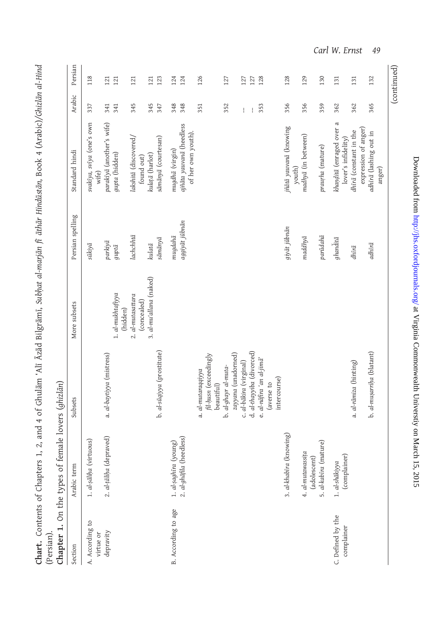<span id="page-12-0"></span>

|         |                            |          | <b>Chart.</b> Contents of Chapters 1, 2, and 4 of Ghulām 'Alī Āzād Bilgrāmī, Subhat al-marjān fi ārhār Hindūstān, Book 4 (Arabic)/Ghizlān al-Hi |  |      |  |
|---------|----------------------------|----------|-------------------------------------------------------------------------------------------------------------------------------------------------|--|------|--|
|         |                            |          |                                                                                                                                                 |  |      |  |
|         | Chapter 1. On the types of | 17   Q.M |                                                                                                                                                 |  |      |  |
| Section |                            | subsets  | More subsets                                                                                                                                    |  | nde. |  |

| Section                         | Arabic term                                       | Subsets                                                   | More subsets                                 | Persian spelling                              | Standard hindi                                                   | Arabic     | Persian     |
|---------------------------------|---------------------------------------------------|-----------------------------------------------------------|----------------------------------------------|-----------------------------------------------|------------------------------------------------------------------|------------|-------------|
| A. According to<br>virtue or    | 1. al-șāliņa (virtuous)                           |                                                           |                                              | sūkiyā                                        | svakiya, sviya (one's own<br>wife)                               | 337        | 118         |
| depravity                       | 2. al-țāliņa (depraved)                           | a. al-baytiyya (mistress)                                 | 1. al-mukhtafiyya                            | parkiyā<br>guptā                              | parakīyā (another's wife)<br>gupta (hidden)                      | 341<br>341 | 121<br>121  |
|                                 |                                                   |                                                           | 2. al-mutasattara<br>(concealed)<br>(hidden) | lachchhtā                                     | lakshitā (discovered/<br>found out)                              | 345        | 121         |
|                                 |                                                   | b. al-sūqiyya (prostitute)                                | 3. al-mu'allana (naked)                      | $s\bar{a}m\bar{a}ny\bar{a}$<br>$kulat\bar{a}$ | sāmānyā (courtesan)<br>kulațā (harlot)                           | 345<br>347 | 123<br>121  |
| B. According to age             | 2. al-ghāfila (heedless)<br>1. al-șaghīra (young) |                                                           |                                              | aggiyāt jūbnān<br>mugdahā                     | ajñāta yauvanā (heedless<br>of her own youth)<br>mugdhā (virgin) | 348<br>348 | 124<br>124  |
|                                 |                                                   | fil-husn (exceedingly<br>a. al-mutaraqqiyya<br>beautiful) |                                              |                                               |                                                                  | 351        | 126         |
|                                 |                                                   | zayyana (unadorned)<br>b. al-ghayr al-muta-               |                                              |                                               |                                                                  | 352        | 127         |
|                                 |                                                   | c. al-bākira (virginal)                                   |                                              |                                               |                                                                  | ł          | 127         |
|                                 |                                                   | d. al-thayyiba (divorced)                                 |                                              |                                               |                                                                  | ł          | 127         |
|                                 |                                                   | e. al-nāfira 'an al-jimā'<br>intercourse)<br>(averse to   |                                              |                                               |                                                                  | 353        | 128         |
|                                 | 3. al-khabira (knowing)                           |                                                           |                                              | giyāt jūbnān                                  | jñātā yauvanā (knowing<br>youth)                                 | 356        | 128         |
|                                 | 4. al-mutawassița<br>(adolescent)                 |                                                           |                                              | $maddhy\bar{a}$                               | madhyā (in between)                                              | 356        | 129         |
|                                 | 5. al-kabīra (mature)                             |                                                           |                                              | parūdahā                                      | praurha (mature)                                                 | 359        | 130         |
| C. Defined by the<br>complainer | (complainer)<br>1. al-shākiyya                    |                                                           |                                              | ghanditā                                      | khanditā (enraged over a<br>lover's infidelity)                  | 362        | 131         |
|                                 |                                                   | a. al-rāmiza (hinting)                                    |                                              | dhīrā                                         | expression of anger)<br>dhira (constant in the                   | 362        | 131         |
|                                 |                                                   | b. al-mușarrița (blatant)                                 |                                              | adhīrā                                        | adhīrā (lashing out in<br>anger)                                 | 365        | 132         |
|                                 |                                                   |                                                           |                                              |                                               |                                                                  |            | (continued) |

Downloaded from http://jhs.oxfordjournals.org/ at Virginia Commonwealth University on March 15, 2015 Downloaded from <http://jhs.oxfordjournals.org/> at Virginia Commonwealth Universtiy on March 15, 2015

Carl W. Ernst 49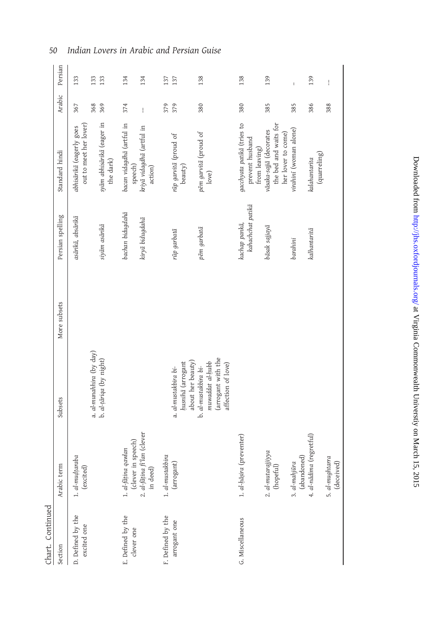## 50 Indian Lovers in Arabic and Persian Guise